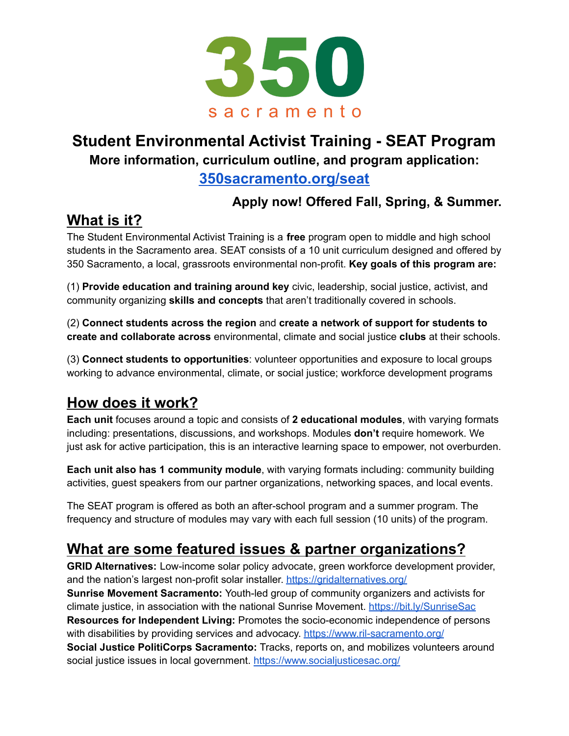

#### **Student Environmental Activist Training - SEAT Program More information, curriculum outline, and program application:**

#### **[350sacramento.org/seat](http://350sacramento.org/seat)**

#### **Apply now! Offered Fall, Spring, & Summer.**

### **What is it?**

The Student Environmental Activist Training is a **free** program open to middle and high school students in the Sacramento area. SEAT consists of a 10 unit curriculum designed and offered by 350 Sacramento, a local, grassroots environmental non-profit. **Key goals of this program are:**

(1) **Provide education and training around key** civic, leadership, social justice, activist, and community organizing **skills and concepts** that aren't traditionally covered in schools.

(2) **Connect students across the region** and **create a network of support for students to create and collaborate across** environmental, climate and social justice **clubs** at their schools.

(3) **Connect students to opportunities**: volunteer opportunities and exposure to local groups working to advance environmental, climate, or social justice; workforce development programs

### **How does it work?**

**Each unit** focuses around a topic and consists of **2 educational modules**, with varying formats including: presentations, discussions, and workshops. Modules **don't** require homework. We just ask for active participation, this is an interactive learning space to empower, not overburden.

**Each unit also has 1 community module**, with varying formats including: community building activities, guest speakers from our partner organizations, networking spaces, and local events.

The SEAT program is offered as both an after-school program and a summer program. The frequency and structure of modules may vary with each full session (10 units) of the program.

## **What are some featured issues & partner organizations?**

**GRID Alternatives:** Low-income solar policy advocate, green workforce development provider, and the nation's largest non-profit solar installer. <https://gridalternatives.org/> **Sunrise Movement Sacramento:** Youth-led group of community organizers and activists for climate justice, in association with the national Sunrise Movement. [https://bit.ly/SunriseSac](https://sites.google.com/view/sacsunrise/home) **Resources for Independent Living:** Promotes the socio-economic independence of persons with disabilities by providing services and advocacy. <https://www.ril-sacramento.org/> **Social Justice PolitiCorps Sacramento:** Tracks, reports on, and mobilizes volunteers around social justice issues in local government. <https://www.socialjusticesac.org/>